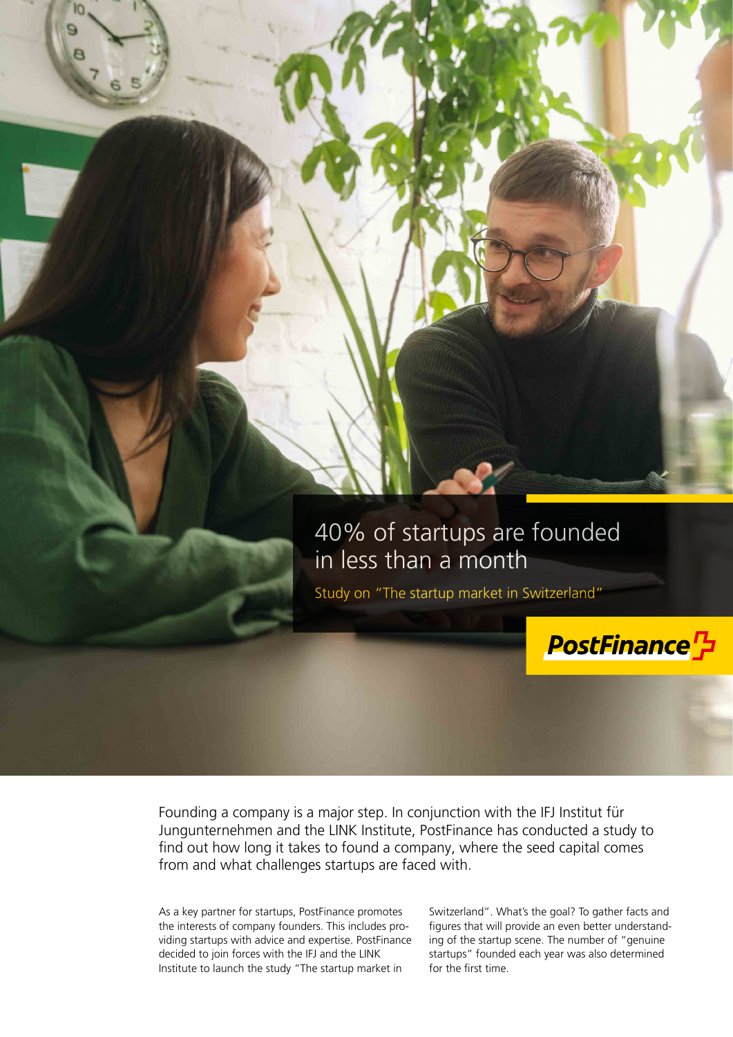

Founding a company is a major step. In conjunction with the IFJ Institut für Jungunternehmen and the LINK Institute, PostFinance has conducted a study to find out how long it takes to found a company, where the seed capital comes from and what challenges startups are faced with.

As a key partner for startups, PostFinance promotes the interests of company founders. This includes providing startups with advice and expertise. PostFinance decided to join forces with the IFJ and the LINK Institute to launch the study "The startup market in

Switzerland". What's the goal? To gather facts and figures that will provide an even better understanding of the startup scene. The number of "genuine startups" founded each year was also determined for the first time.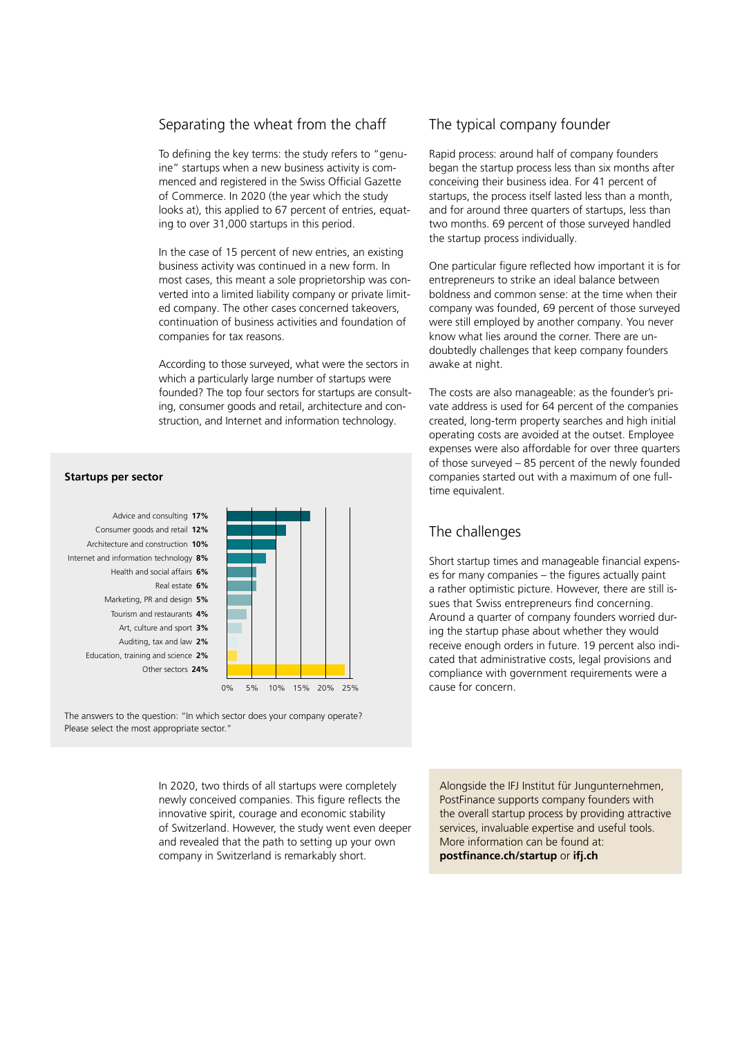### Separating the wheat from the chaff

To defining the key terms: the study refers to "genuine" startups when a new business activity is commenced and registered in the Swiss Official Gazette of Commerce. In 2020 (the year which the study looks at), this applied to 67 percent of entries, equating to over 31,000 startups in this period.

In the case of 15 percent of new entries, an existing business activity was continued in a new form. In most cases, this meant a sole proprietorship was converted into a limited liability company or private limited company. The other cases concerned takeovers, continuation of business activities and foundation of companies for tax reasons.

According to those surveyed, what were the sectors in which a particularly large number of startups were founded? The top four sectors for startups are consulting, consumer goods and retail, architecture and construction, and Internet and information technology.

#### Other sectors **24%** Education, training and science **2%** Auditing, tax and law **2%** Art, culture and sport **3%** Tourism and restaurants **4%** Marketing, PR and design **5%** Real estate **6%** Health and social affairs **6%** Internet and information technology **8%** Architecture and construction **10%** Consumer goods and retail **12%** Advice and consulting **17%**



The answers to the question: "In which sector does your company operate? Please select the most appropriate sector."

> In 2020, two thirds of all startups were completely newly conceived companies. This figure reflects the innovative spirit, courage and economic stability of Switzerland. However, the study went even deeper and revealed that the path to setting up your own company in Switzerland is remarkably short.

## The typical company founder

Rapid process: around half of company founders began the startup process less than six months after conceiving their business idea. For 41 percent of startups, the process itself lasted less than a month, and for around three quarters of startups, less than two months. 69 percent of those surveyed handled the startup process individually.

One particular figure reflected how important it is for entrepreneurs to strike an ideal balance between boldness and common sense: at the time when their company was founded, 69 percent of those surveyed were still employed by another company. You never know what lies around the corner. There are undoubtedly challenges that keep company founders awake at night.

The costs are also manageable: as the founder's private address is used for 64 percent of the companies created, long-term property searches and high initial operating costs are avoided at the outset. Employee expenses were also affordable for over three quarters of those surveyed – 85 percent of the newly founded companies started out with a maximum of one fulltime equivalent.

# The challenges

Short startup times and manageable financial expenses for many companies – the figures actually paint a rather optimistic picture. However, there are still issues that Swiss entrepreneurs find concerning. Around a quarter of company founders worried during the startup phase about whether they would receive enough orders in future. 19 percent also indicated that administrative costs, legal provisions and compliance with government requirements were a cause for concern.

Alongside the IFJ Institut für Jungunternehmen, PostFinance supports company founders with the overall startup process by providing attractive services, invaluable expertise and useful tools. More information can be found at: **[postfinance.ch/startup](https://www.postfinance.ch/en/business/needs/founders-start-ups.html)** or **[ifj.ch](https://www.ifj.ch/en)**

### **Startups per sector**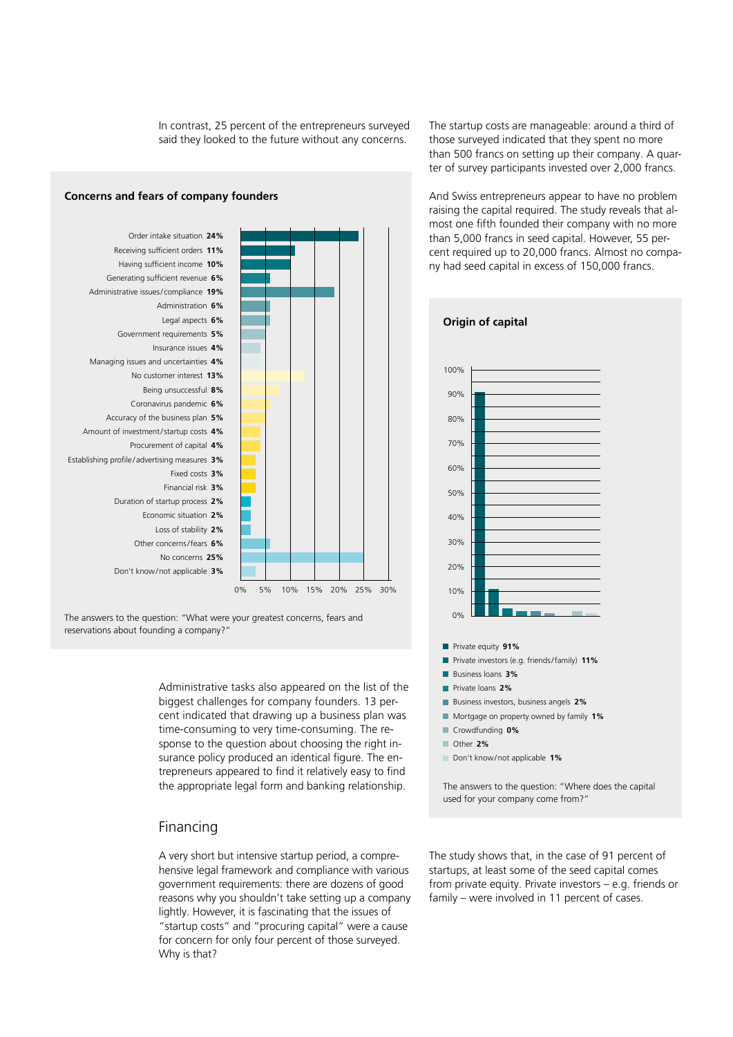In contrast, 25 percent of the entrepreneurs surveyed said they looked to the future without any concerns.

### Don't know/not applicable **3%** No concerns **25%** Other concerns/fears **6%** Loss of stability **2%** Economic situation **2%** Duration of startup process **2%** Financial risk **3%** Fixed costs **3%** Establishing profile / advertising measures **3%** Procurement of capital **4%** Amount of investment/startup costs **4%** Accuracy of the business plan **5%** Coronavirus pandemic **6%** Being unsuccessful **8%** No customer interest **13%** Managing issues and uncertainties **4%** Insurance issues **4%** Government requirements **5%** Legal aspects **6%** Administration **6%** Administrative issues/ compliance **19%** Generating sufficient revenue **6%** Having sufficient income **10%** Receiving sufficient orders **11%** Order intake situation **24%** 0% 5% 10% 15% 20% 25% 30%

The answers to the question: "What were your greatest concerns, fears and reservations about founding a company?"

> Administrative tasks also appeared on the list of the biggest challenges for company founders. 13 percent indicated that drawing up a business plan was time-consuming to very time-consuming. The response to the question about choosing the right insurance policy produced an identical figure. The entrepreneurs appeared to find it relatively easy to find the appropriate legal form and banking relationship.

## Financing

A very short but intensive startup period, a comprehensive legal framework and compliance with various government requirements: there are dozens of good reasons why you shouldn't take setting up a company lightly. However, it is fascinating that the issues of "startup costs" and "procuring capital" were a cause for concern for only four percent of those surveyed. Why is that?

The startup costs are manageable: around a third of those surveyed indicated that they spent no more than 500 francs on setting up their company. A quarter of survey participants invested over 2,000 francs.

And Swiss entrepreneurs appear to have no problem raising the capital required. The study reveals that almost one fifth founded their company with no more than 5,000 francs in seed capital. However, 55 percent required up to 20,000 francs. Almost no company had seed capital in excess of 150,000 francs.



The answers to the question: "Where does the capital used for your company come from?"

The study shows that, in the case of 91 percent of startups, at least some of the seed capital comes from private equity. Private investors – e.g. friends or family – were involved in 11 percent of cases.

# **Concerns and fears of company founders**